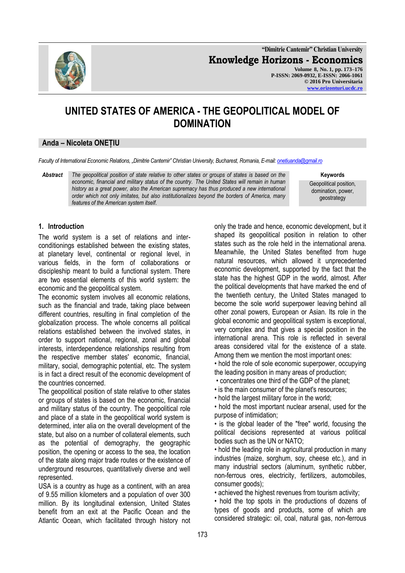

**"Dimitrie Cantemir" Christian University Knowledge Horizons - Economics Volume 8, No. 1, pp. 173–176 P-ISSN: 2069-0932, E-ISSN: 2066-1061 © 2016 Pro Universitaria [www.orizonturi.ucdc.ro](http://www.orizonturi.ucdc.ro/)**

# **UNITED STATES OF AMERICA - THE GEOPOLITICAL MODEL OF DOMINATION**

# **Anda – Nicoleta ONEȚIU**

*Faculty of International Economic Relations, "Dimitrie Cantemir" Christian University, Bucharest, Romania, E-mail[: onetiuanda@gmail.ro](mailto:onetiuanda@gmail.ro)*

*Abstract The geopolitical position of state relative to other states or groups of states is based on the economic, financial and military status of the country. The United States will remain in human history as a great power, also the American supremacy has thus produced a new international order which not only imitates, but also institutionalizes beyond the borders of America, many features of the American system itself.*

**Keywords**

Geopolitical position, domination, power, geostrategy

### **1. Introduction**

The world system is a set of relations and interconditionings established between the existing states, at planetary level, continental or regional level, in various fields, in the form of collaborations or discipleship meant to build a functional system. There are two essential elements of this world system: the economic and the geopolitical system.

The economic system involves all economic relations, such as the financial and trade, taking place between different countries, resulting in final completion of the globalization process. The whole concerns all political relations established between the involved states, in order to support national, regional, zonal and global interests, interdependence relationships resulting from the respective member states' economic, financial, military, social, demographic potential, etc. The system is in fact a direct result of the economic development of the countries concerned.

The geopolitical position of state relative to other states or groups of states is based on the economic, financial and military status of the country. The geopolitical role and place of a state in the geopolitical world system is determined, inter alia on the overall development of the state, but also on a number of collateral elements, such as the potential of demography, the geographic position, the opening or access to the sea, the location of the state along major trade routes or the existence of underground resources, quantitatively diverse and well represented.

USA is a country as huge as a continent, with an area of 9.55 million kilometers and a population of over 300 million. By its longitudinal extension, United States benefit from an exit at the Pacific Ocean and the Atlantic Ocean, which facilitated through history not only the trade and hence, economic development, but it shaped its geopolitical position in relation to other states such as the role held in the international arena. Meanwhile, the United States benefited from huge natural resources, which allowed it unprecedented economic development, supported by the fact that the state has the highest GDP in the world, almost. After the political developments that have marked the end of the twentieth century, the United States managed to become the sole world superpower leaving behind all other zonal powers, European or Asian. Its role in the global economic and geopolitical system is exceptional, very complex and that gives a special position in the international arena. This role is reflected in several areas considered vital for the existence of a state. Among them we mention the most important ones:

• hold the role of sole economic superpower, occupying the leading position in many areas of production;

- concentrates one third of the GDP of the planet;
- is the main consumer of the planet's resources;

• hold the largest military force in the world;

• hold the most important nuclear arsenal, used for the purpose of intimidation;

• is the global leader of the "free" world, focusing the political decisions represented at various political bodies such as the UN or NATO;

• hold the leading role in agricultural production in many industries (maize, sorghum, soy, cheese etc.), and in many industrial sectors (aluminum, synthetic rubber, non-ferrous ores, electricity, fertilizers, automobiles, consumer goods);

• achieved the highest revenues from tourism activity;

• hold the top spots in the productions of dozens of types of goods and products, some of which are considered strategic: oil, coal, natural gas, non-ferrous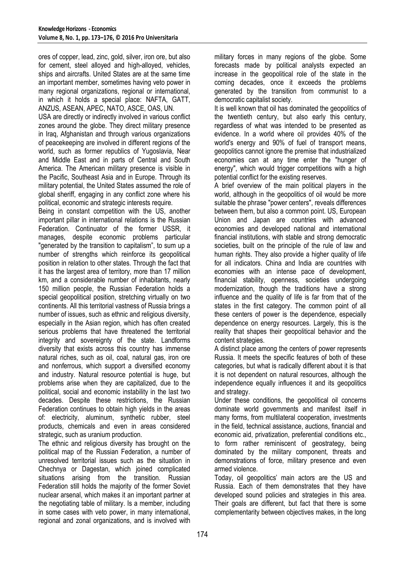ores of copper, lead, zinc, gold, silver, iron ore, but also for cement, steel alloyed and high-alloyed, vehicles, ships and aircrafts. United States are at the same time an important member, sometimes having veto power in many regional organizations, regional or international, in which it holds a special place: NAFTA, GATT, ANZUS, ASEAN, APEC, NATO, ASCE, OAS, UN.

USA are directly or indirectly involved in various conflict zones around the globe. They direct military presence in Iraq, Afghanistan and through various organizations of peacekeeping are involved in different regions of the world, such as former republics of Yugoslavia, Near and Middle East and in parts of Central and South America. The American military presence is visible in the Pacific, Southeast Asia and in Europe. Through its military potential, the United States assumed the role of global sheriff, engaging in any conflict zone where his political, economic and strategic interests require.

Being in constant competition with the US, another important pillar in international relations is the Russian Federation. Continuator of the former USSR, it manages, despite economic problems particular "generated by the transition to capitalism", to sum up a number of strengths which reinforce its geopolitical position in relation to other states. Through the fact that it has the largest area of territory, more than 17 million km, and a considerable number of inhabitants, nearly 150 million people, the Russian Federation holds a special geopolitical position, stretching virtually on two continents. All this territorial vastness of Russia brings a number of issues, such as ethnic and religious diversity, especially in the Asian region, which has often created serious problems that have threatened the territorial integrity and sovereignty of the state. Landforms diversity that exists across this country has immense natural riches, such as oil, coal, natural gas, iron ore and nonferrous, which support a diversified economy and industry. Natural resource potential is huge, but problems arise when they are capitalized, due to the political, social and economic instability in the last two decades. Despite these restrictions, the Russian Federation continues to obtain high yields in the areas of: electricity, aluminum, synthetic rubber, steel products, chemicals and even in areas considered strategic, such as uranium production.

The ethnic and religious diversity has brought on the political map of the Russian Federation, a number of unresolved territorial issues such as the situation in Chechnya or Dagestan, which joined complicated situations arising from the transition. Russian Federation still holds the majority of the former Soviet nuclear arsenal, which makes it an important partner at the negotiating table of military. Is a member, including in some cases with veto power, in many international, regional and zonal organizations, and is involved with military forces in many regions of the globe. Some forecasts made by political analysts expected an increase in the geopolitical role of the state in the coming decades, once it exceeds the problems generated by the transition from communist to a democratic capitalist society.

It is well known that oil has dominated the geopolitics of the twentieth century, but also early this century, regardless of what was intended to be presented as evidence. In a world where oil provides 40% of the world's energy and 90% of fuel of transport means, geopolitics cannot ignore the premise that industrialized economies can at any time enter the "hunger of energy", which would trigger competitions with a high potential conflict for the existing reserves.

A brief overview of the main political players in the world, although in the geopolitics of oil would be more suitable the phrase "power centers", reveals differences between them, but also a common point. US, European Union and Japan are countries with advanced economies and developed national and international financial institutions, with stable and strong democratic societies, built on the principle of the rule of law and human rights. They also provide a higher quality of life for all indicators. China and India are countries with economies with an intense pace of development, financial stability, openness, societies undergoing modernization, though the traditions have a strong influence and the quality of life is far from that of the states in the first category. The common point of all these centers of power is the dependence, especially dependence on energy resources. Largely, this is the reality that shapes their geopolitical behavior and the content strategies.

A distinct place among the centers of power represents Russia. It meets the specific features of both of these categories, but what is radically different about it is that it is not dependent on natural resources, although the independence equally influences it and its geopolitics and strategy.

Under these conditions, the geopolitical oil concerns dominate world governments and manifest itself in many forms, from multilateral cooperation, investments in the field, technical assistance, auctions, financial and economic aid, privatization, preferential conditions etc., to form rather reminiscent of geostrategy, being dominated by the military component, threats and demonstrations of force, military presence and even armed violence.

Today, oil geopolitics' main actors are the US and Russia. Each of them demonstrates that they have developed sound policies and strategies in this area. Their goals are different, but fact that there is some complementarity between objectives makes, in the long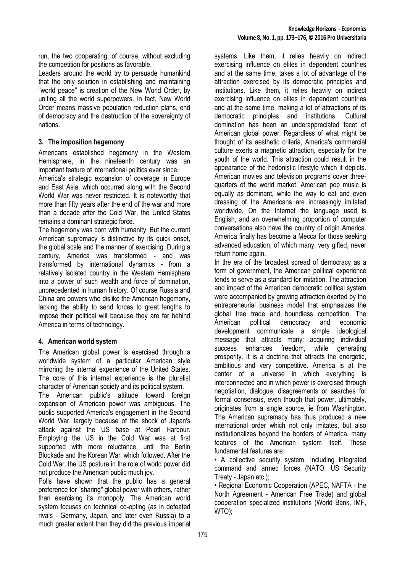run, the two cooperating, of course, without excluding the competition for positions as favorable.

Leaders around the world try to persuade humankind that the only solution in establishing and maintaining "world peace" is creation of the New World Order, by uniting all the world superpowers. In fact, New World Order means massive population reduction plans, end of democracy and the destruction of the sovereignty of nations.

# **3. The imposition hegemony**

Americans established hegemony in the Western Hemisphere, in the nineteenth century was an important feature of international politics ever since.

America's strategic expansion of coverage in Europe and East Asia, which occurred along with the Second World War was never restricted. It is noteworthy that more than fifty years after the end of the war and more than a decade after the Cold War, the United States remains a dominant strategic force.

The hegemony was born with humanity. But the current American supremacy is distinctive by its quick onset, the global scale and the manner of exercising. During a century, America was transformed - and was transformed by international dynamics - from a relatively isolated country in the Western Hemisphere into a power of such wealth and force of domination, unprecedented in human history. Of course Russia and China are powers who dislike the American hegemony, lacking the ability to send forces to great lengths to impose their political will because they are far behind America in terms of technology.

### **4. American world system**

The American global power is exercised through a worldwide system of a particular American style mirroring the internal experience of the United States. The core of this internal experience is the pluralist character of American society and its political system.

The American public's attitude toward foreign expansion of American power was ambiguous. The public supported America's engagement in the Second World War, largely because of the shock of Japan's attack against the US base at Pearl Harbour. Employing the US in the Cold War was at first supported with more reluctance, until the Berlin Blockade and the Korean War, which followed. After the Cold War, the US posture in the role of world power did not produce the American public much joy.

Polls have shown that the public has a general preference for "sharing" global power with others, rather than exercising its monopoly. The American world system focuses on technical co-opting (as in defeated rivals - Germany, Japan, and later even Russia) to a much greater extent than they did the previous imperial systems. Like them, it relies heavily on indirect exercising influence on elites in dependent countries and at the same time, takes a lot of advantage of the attraction exercised by its democratic principles and institutions. Like them, it relies heavily on indirect exercising influence on elites in dependent countries and at the same time, making a lot of attractions of its democratic principles and institutions. Cultural domination has been an underappreciated facet of American global power. Regardless of what might be thought of its aesthetic criteria, America's commercial culture exerts a magnetic attraction, especially for the youth of the world. This attraction could result in the appearance of the hedonistic lifestyle which it depicts. American movies and television programs cover threequarters of the world market. American pop music is equally as dominant, while the way to eat and even dressing of the Americans are increasingly imitated worldwide. On the Internet the language used is English, and an overwhelming proportion of computer conversations also have the country of origin America. America finally has become a Mecca for those seeking advanced education, of which many, very gifted, never return home again.

In the era of the broadest spread of democracy as a form of government, the American political experience tends to serve as a standard for imitation. The attraction and impact of the American democratic political system were accompanied by growing attraction exerted by the entrepreneurial business model that emphasizes the global free trade and boundless competition. The American political democracy and economic development communicate a simple ideological message that attracts many: acquiring individual success enhances freedom, while generating prosperity. It is a doctrine that attracts the energetic, ambitious and very competitive. America is at the center of a universe in which everything is interconnected and in which power is exercised through negotiation, dialogue, disagreements or searches for formal consensus, even though that power, ultimately, originates from a single source, ie from Washington. The American supremacy has thus produced a new international order which not only imitates, but also institutionalizes beyond the borders of America, many features of the American system itself. These fundamental features are:

• A collective security system, including integrated command and armed forces (NATO, US Security Treaty - Japan etc.);

• Regional Economic Cooperation (APEC, NAFTA - the North Agreement - American Free Trade) and global cooperation specialized institutions (World Bank, IMF, WTO);